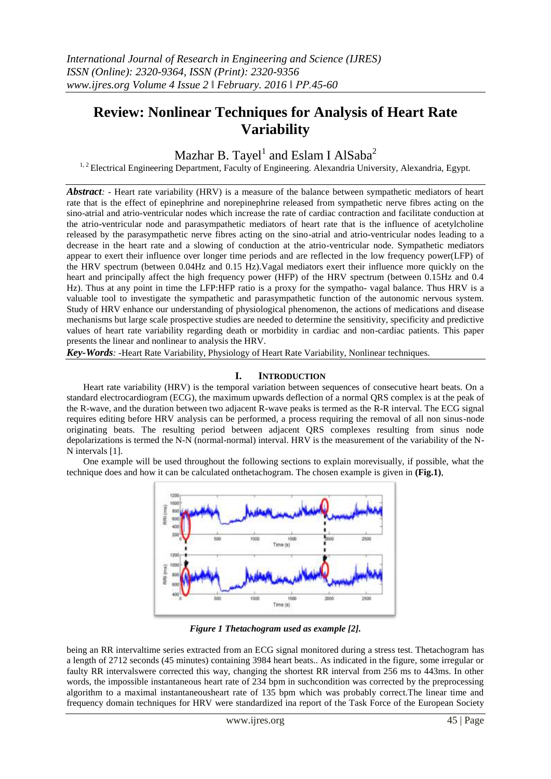# **Review: Nonlinear Techniques for Analysis of Heart Rate Variability**

Mazhar B. Tayel $^{\rm l}$  and Eslam I AlSaba $^{\rm 2}$ 

<sup>1, 2</sup> Electrical Engineering Department, Faculty of Engineering. Alexandria University, Alexandria, Egypt.

*Abstract: -* Heart rate variability (HRV) is a measure of the balance between sympathetic mediators of heart rate that is the effect of epinephrine and norepinephrine released from sympathetic nerve fibres acting on the sino-atrial and atrio-ventricular nodes which increase the rate of cardiac contraction and facilitate conduction at the atrio-ventricular node and parasympathetic mediators of heart rate that is the influence of acetylcholine released by the parasympathetic nerve fibres acting on the sino-atrial and atrio-ventricular nodes leading to a decrease in the heart rate and a slowing of conduction at the atrio-ventricular node. Sympathetic mediators appear to exert their influence over longer time periods and are reflected in the low frequency power(LFP) of the HRV spectrum (between 0.04Hz and 0.15 Hz).Vagal mediators exert their influence more quickly on the heart and principally affect the high frequency power (HFP) of the HRV spectrum (between 0.15Hz and 0.4 Hz). Thus at any point in time the LFP:HFP ratio is a proxy for the sympatho- vagal balance. Thus HRV is a valuable tool to investigate the sympathetic and parasympathetic function of the autonomic nervous system. Study of HRV enhance our understanding of physiological phenomenon, the actions of medications and disease mechanisms but large scale prospective studies are needed to determine the sensitivity, specificity and predictive values of heart rate variability regarding death or morbidity in cardiac and non-cardiac patients. This paper presents the linear and nonlinear to analysis the HRV.

*Key-Words: -*Heart Rate Variability, Physiology of Heart Rate Variability, Nonlinear techniques.

# **I. INTRODUCTION**

Heart rate variability (HRV) is the temporal variation between sequences of consecutive heart beats. On a standard electrocardiogram (ECG), the maximum upwards deflection of a normal QRS complex is at the peak of the R-wave, and the duration between two adjacent R-wave peaks is termed as the R-R interval. The ECG signal requires editing before HRV analysis can be performed, a process requiring the removal of all non sinus-node originating beats. The resulting period between adjacent QRS complexes resulting from sinus node depolarizations is termed the N-N (normal-normal) interval. HRV is the measurement of the variability of the N-N intervals [1].

One example will be used throughout the following sections to explain morevisually, if possible, what the technique does and how it can be calculated onthetachogram. The chosen example is given in **(Fig.1)**,



*Figure 1 Thetachogram used as example [2].*

being an RR intervaltime series extracted from an ECG signal monitored during a stress test. Thetachogram has a length of 2712 seconds (45 minutes) containing 3984 heart beats.. As indicated in the figure, some irregular or faulty RR intervalswere corrected this way, changing the shortest RR interval from 256 ms to 443ms. In other words, the impossible instantaneous heart rate of 234 bpm in suchcondition was corrected by the preprocessing algorithm to a maximal instantaneousheart rate of 135 bpm which was probably correct.The linear time and frequency domain techniques for HRV were standardized ina report of the Task Force of the European Society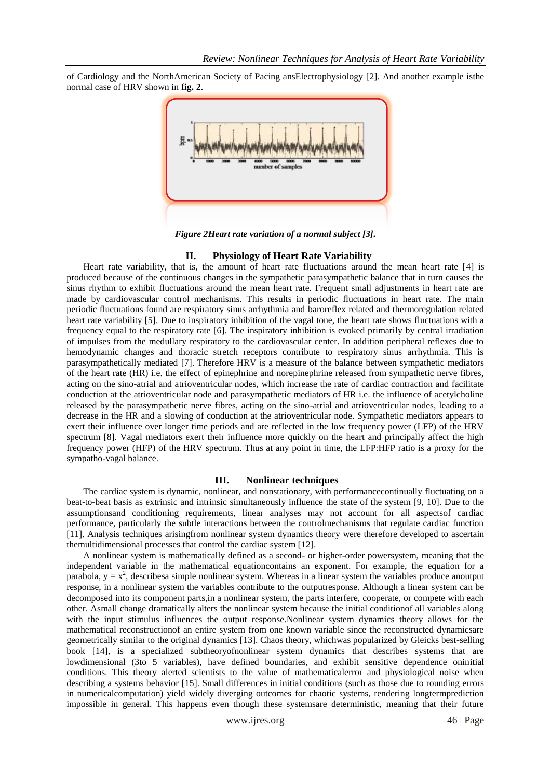of Cardiology and the NorthAmerican Society of Pacing ansElectrophysiology [2]. And another example isthe normal case of HRV shown in **fig. 2**.



*Figure 2Heart rate variation of a normal subject [3].*

## **II. Physiology of Heart Rate Variability**

Heart rate variability, that is, the amount of heart rate fluctuations around the mean heart rate [4] is produced because of the continuous changes in the sympathetic parasympathetic balance that in turn causes the sinus rhythm to exhibit fluctuations around the mean heart rate. Frequent small adjustments in heart rate are made by cardiovascular control mechanisms. This results in periodic fluctuations in heart rate. The main periodic fluctuations found are respiratory sinus arrhythmia and baroreflex related and thermoregulation related heart rate variability [5]. Due to inspiratory inhibition of the vagal tone, the heart rate shows fluctuations with a frequency equal to the respiratory rate [6]. The inspiratory inhibition is evoked primarily by central irradiation of impulses from the medullary respiratory to the cardiovascular center. In addition peripheral reflexes due to hemodynamic changes and thoracic stretch receptors contribute to respiratory sinus arrhythmia. This is parasympathetically mediated [7]. Therefore HRV is a measure of the balance between sympathetic mediators of the heart rate (HR) i.e. the effect of epinephrine and norepinephrine released from sympathetic nerve fibres, acting on the sino-atrial and atrioventricular nodes, which increase the rate of cardiac contraction and facilitate conduction at the atrioventricular node and parasympathetic mediators of HR i.e. the influence of acetylcholine released by the parasympathetic nerve fibres, acting on the sino-atrial and atrioventricular nodes, leading to a decrease in the HR and a slowing of conduction at the atrioventricular node. Sympathetic mediators appears to exert their influence over longer time periods and are reflected in the low frequency power (LFP) of the HRV spectrum [8]. Vagal mediators exert their influence more quickly on the heart and principally affect the high frequency power (HFP) of the HRV spectrum. Thus at any point in time, the LFP:HFP ratio is a proxy for the sympatho-vagal balance.

### **III. Nonlinear techniques**

The cardiac system is dynamic, nonlinear, and nonstationary, with performancecontinually fluctuating on a beat-to-beat basis as extrinsic and intrinsic simultaneously influence the state of the system [9, 10]. Due to the assumptionsand conditioning requirements, linear analyses may not account for all aspectsof cardiac performance, particularly the subtle interactions between the controlmechanisms that regulate cardiac function [11]. Analysis techniques arisingfrom nonlinear system dynamics theory were therefore developed to ascertain themultidimensional processes that control the cardiac system [12].

A nonlinear system is mathematically defined as a second- or higher-order powersystem, meaning that the independent variable in the mathematical equationcontains an exponent. For example, the equation for a parabola,  $y = x^2$ , describesa simple nonlinear system. Whereas in a linear system the variables produce anoutput response, in a nonlinear system the variables contribute to the outputresponse. Although a linear system can be decomposed into its component parts,in a nonlinear system, the parts interfere, cooperate, or compete with each other. Asmall change dramatically alters the nonlinear system because the initial conditionof all variables along with the input stimulus influences the output response.Nonlinear system dynamics theory allows for the mathematical reconstructionof an entire system from one known variable since the reconstructed dynamicsare geometrically similar to the original dynamics [13]. Chaos theory, whichwas popularized by Gleicks best-selling book [14], is a specialized subtheoryofnonlinear system dynamics that describes systems that are lowdimensional (3to 5 variables), have defined boundaries, and exhibit sensitive dependence oninitial conditions. This theory alerted scientists to the value of mathematicalerror and physiological noise when describing a systems behavior [15]. Small differences in initial conditions (such as those due to rounding errors in numericalcomputation) yield widely diverging outcomes for chaotic systems, rendering longtermprediction impossible in general. This happens even though these systemsare deterministic, meaning that their future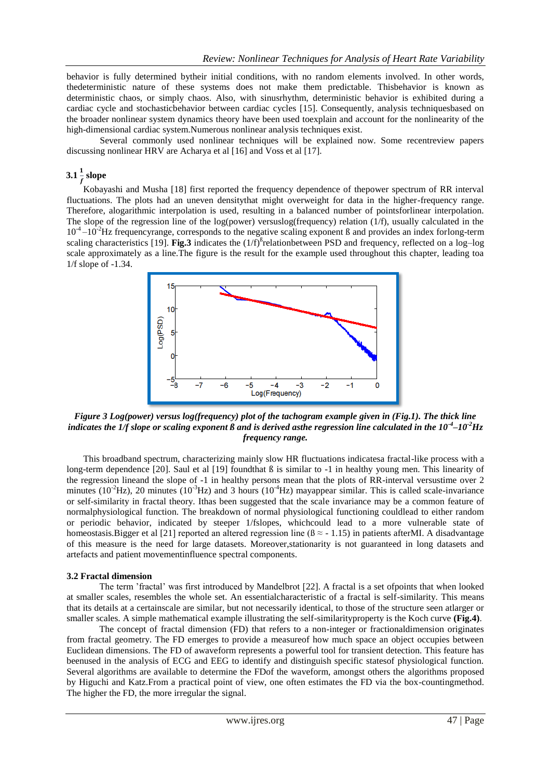behavior is fully determined bytheir initial conditions, with no random elements involved. In other words, thedeterministic nature of these systems does not make them predictable. Thisbehavior is known as deterministic chaos, or simply chaos. Also, with sinusrhythm, deterministic behavior is exhibited during a cardiac cycle and stochasticbehavior between cardiac cycles [15]. Consequently, analysis techniquesbased on the broader nonlinear system dynamics theory have been used toexplain and account for the nonlinearity of the high-dimensional cardiac system.Numerous nonlinear analysis techniques exist.

Several commonly used nonlinear techniques will be explained now. Some recentreview papers discussing nonlinear HRV are Acharya et al [16] and Voss et al [17].

# $3.1\frac{1}{f}\,{\rm slope}$

Kobayashi and Musha [18] first reported the frequency dependence of thepower spectrum of RR interval fluctuations. The plots had an uneven densitythat might overweight for data in the higher-frequency range. Therefore, alogarithmic interpolation is used, resulting in a balanced number of pointsforlinear interpolation. The slope of the regression line of the log(power) versuslog(frequency) relation (1/f), usually calculated in the  $10^{-4} - 10^{-2}$ Hz frequencyrange, corresponds to the negative scaling exponent ß and provides an index forlong-term scaling characteristics [19]. **Fig.3** indicates the  $(1/f)$ <sup>B</sup>relationbetween PSD and frequency, reflected on a log-log scale approximately as a line.The figure is the result for the example used throughout this chapter, leading toa 1/f slope of -1.34.



*Figure 3 Log(power) versus log(frequency) plot of the tachogram example given in (Fig.1). The thick line indicates the*  $1/f$  *slope or scaling exponent*  $\beta$  *and is derived asthe regression line calculated in the*  $10^{-4}$ *–* $10^{-2}$ *Hz frequency range.*

This broadband spectrum, characterizing mainly slow HR fluctuations indicatesa fractal-like process with a long-term dependence [20]. Saul et al [19] foundthat ß is similar to -1 in healthy young men. This linearity of the regression lineand the slope of -1 in healthy persons mean that the plots of RR-interval versustime over 2 minutes ( $10^{-2}$ Hz), 20 minutes ( $10^{-3}$ Hz) and 3 hours ( $10^{-4}$ Hz) mayappear similar. This is called scale-invariance or self-similarity in fractal theory. Ithas been suggested that the scale invariance may be a common feature of normalphysiological function. The breakdown of normal physiological functioning couldlead to either random or periodic behavior, indicated by steeper 1/fslopes, whichcould lead to a more vulnerable state of homeostasis.Bigger et al [21] reported an altered regression line ( $\beta \approx -1.15$ ) in patients afterMI. A disadvantage of this measure is the need for large datasets. Moreover,stationarity is not guaranteed in long datasets and artefacts and patient movementinfluence spectral components.

## **3.2 Fractal dimension**

The term 'fractal' was first introduced by Mandelbrot [22]. A fractal is a set ofpoints that when looked at smaller scales, resembles the whole set. An essentialcharacteristic of a fractal is self-similarity. This means that its details at a certainscale are similar, but not necessarily identical, to those of the structure seen atlarger or smaller scales. A simple mathematical example illustrating the self-similarityproperty is the Koch curve **(Fig.4)**.

The concept of fractal dimension (FD) that refers to a non-integer or fractionaldimension originates from fractal geometry. The FD emerges to provide a measureof how much space an object occupies between Euclidean dimensions. The FD of awaveform represents a powerful tool for transient detection. This feature has beenused in the analysis of ECG and EEG to identify and distinguish specific statesof physiological function. Several algorithms are available to determine the FDof the waveform, amongst others the algorithms proposed by Higuchi and Katz.From a practical point of view, one often estimates the FD via the box-countingmethod. The higher the FD, the more irregular the signal.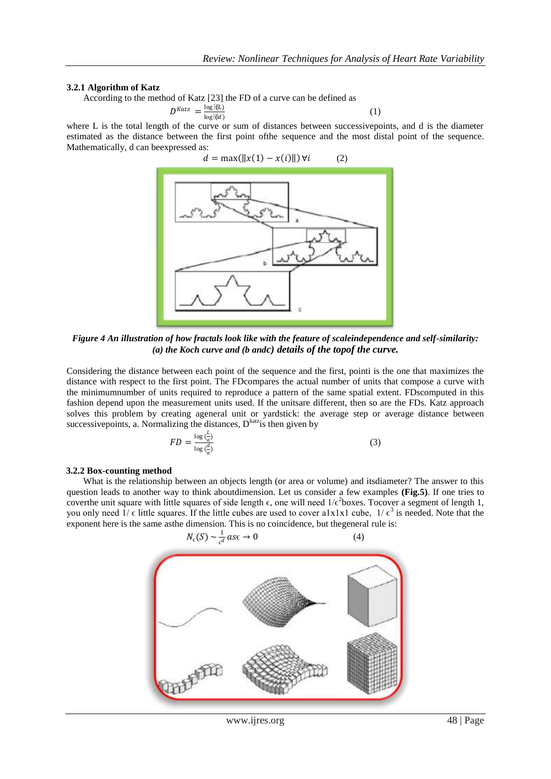(1)

#### **3.2.1 Algorithm of Katz**

According to the method of Katz [23] the FD of a curve can be defined as

$$
D^{Katz} = \frac{\log \mathbb{E} \mathbb{E}}{\log \mathbb{E} \mathbb{E} d}
$$

where L is the total length of the curve or sum of distances between successivepoints, and d is the diameter estimated as the distance between the first point ofthe sequence and the most distal point of the sequence. Mathematically, d can beexpressed as:



*Figure 4 An illustration of how fractals look like with the feature of scaleindependence and self-similarity: (a) the Koch curve and (b andc) details of the topof the curve.*

Considering the distance between each point of the sequence and the first, pointi is the one that maximizes the distance with respect to the first point. The FDcompares the actual number of units that compose a curve with the minimumnumber of units required to reproduce a pattern of the same spatial extent. FDscomputed in this fashion depend upon the measurement units used. If the unitsare different, then so are the FDs. Katz approach solves this problem by creating ageneral unit or yardstick: the average step or average distance between successivepoints, a. Normalizing the distances,  $D<sup>katz</sup>$  is then given by

$$
FD = \frac{\log(\frac{L}{a})}{\log(\frac{d}{a})}
$$
\n(3)

### **3.2.2 Box-counting method**

What is the relationship between an objects length (or area or volume) and itsdiameter? The answer to this question leads to another way to think aboutdimension. Let us consider a few examples **(Fig.5)**. If one tries to coverthe unit square with little squares of side length  $\epsilon$ , one will need  $1/\epsilon^2$ boxes. Tocover a segment of length 1, you only need  $1/\epsilon$  little squares. If the little cubes are used to cover a1x1x1 cube,  $1/\epsilon^3$  is needed. Note that the exponent here is the same asthe dimension. This is no coincidence, but thegeneral rule is:



www.ijres.org 48 | Page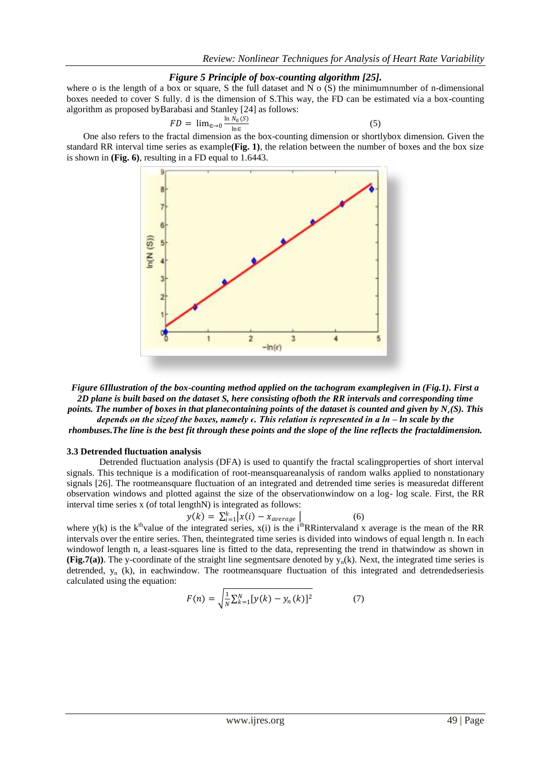(5)

## *Figure 5 Principle of box-counting algorithm [25].*

where o is the length of a box or square, S the full dataset and N  $\alpha$  (S) the minimumnumber of n-dimensional boxes needed to cover S fully. d is the dimension of S.This way, the FD can be estimated via a box-counting algorithm as proposed byBarabasi and Stanley [24] as follows:

$$
FD = \lim_{\epsilon \to 0} \frac{\ln N_{\epsilon}(S)}{\ln \epsilon}
$$

One also refers to the fractal dimension as the box-counting dimension or shortlybox dimension. Given the standard RR interval time series as example**(Fig. 1)**, the relation between the number of boxes and the box size is shown in **(Fig. 6)**, resulting in a FD equal to 1.6443.



*Figure 6Illustration of the box-counting method applied on the tachogram examplegiven in (Fig.1). First a 2D plane is built based on the dataset S, here consisting ofboth the RR intervals and corresponding time points. The number of boxes in that planecontaining points of the dataset is counted and given by Nϵ(S). This depends on the sizeof the boxes, namely ϵ. This relation is represented in a ln – ln scale by the rhombuses.The line is the best fit through these points and the slope of the line reflects the fractaldimension.*

#### **3.3 Detrended fluctuation analysis**

Detrended fluctuation analysis (DFA) is used to quantify the fractal scalingproperties of short interval signals. This technique is a modification of root-meansquareanalysis of random walks applied to nonstationary signals [26]. The rootmeansquare fluctuation of an integrated and detrended time series is measuredat different observation windows and plotted against the size of the observationwindow on a log- log scale. First, the RR interval time series x (of total lengthN) is integrated as follows:

 $(6)$ 

$$
y(k) = \sum_{i=1}^{k} |x(i) - x_{average}|
$$

where y(k) is the k<sup>th</sup>value of the integrated series,  $x(i)$  is the i<sup>th</sup>RRintervaland x average is the mean of the RR intervals over the entire series. Then, theintegrated time series is divided into windows of equal length n. In each windowof length n, a least-squares line is fitted to the data, representing the trend in thatwindow as shown in **(Fig.7(a)**). The y-coordinate of the straight line segmentsare denoted by  $y_n(k)$ . Next, the integrated time series is detrended,  $y_n$  (k), in eachwindow. The rootmeansquare fluctuation of this integrated and detrendedseriesis calculated using the equation:

$$
F(n) = \sqrt{\frac{1}{N} \sum_{k=1}^{N} [y(k) - y_n(k)]^2}
$$
 (7)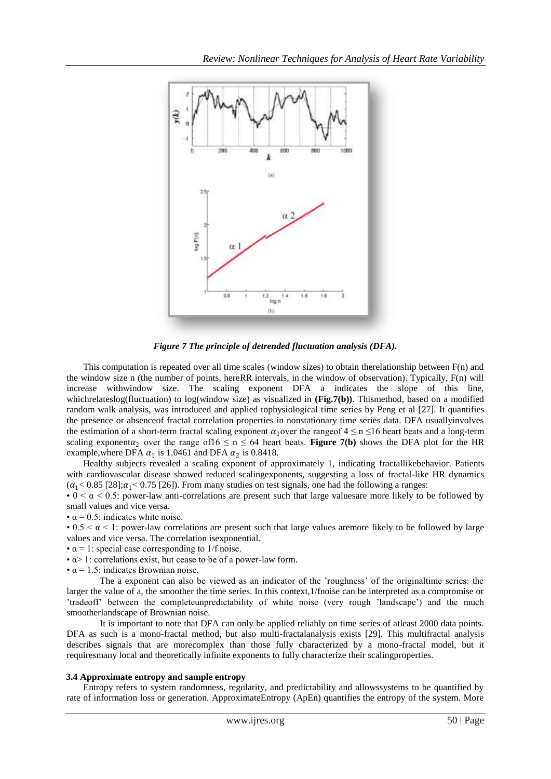

*Figure 7 The principle of detrended fluctuation analysis (DFA).*

This computation is repeated over all time scales (window sizes) to obtain therelationship between F(n) and the window size n (the number of points, hereRR intervals, in the window of observation). Typically, F(n) will increase withwindow size. The scaling exponent DFA a indicates the slope of this line, whichrelateslog(fluctuation) to log(window size) as visualized in (Fig.7(b)). Thismethod, based on a modified random walk analysis, was introduced and applied tophysiological time series by Peng et al [27]. It quantifies the presence or absenceof fractal correlation properties in nonstationary time series data. DFA usuallyinvolves the estimation of a short-term fractal scaling exponent  $\alpha_1$  over the rangeof  $4 \le n \le 16$  heart beats and a long-term scaling exponenta<sub>2</sub> over the range of  $16 \le n \le 64$  heart beats. **Figure 7(b)** shows the DFA plot for the HR example, where DFA  $\alpha_1$  is 1.0461 and DFA  $\alpha_2$  is 0.8418.

Healthy subjects revealed a scaling exponent of approximately 1, indicating fractallikebehavior. Patients with cardiovascular disease showed reduced scalingexponents, suggesting a loss of fractal-like HR dynamics  $(\alpha_1 < 0.85 \, [28]; \alpha_1 < 0.75 \, [26])$ . From many studies on test signals, one had the following a ranges:

• 0 <  $\alpha$  < 0.5: power-law anti-correlations are present such that large values are more likely to be followed by small values and vice versa.

•  $\alpha$  = 0.5: indicates white noise.

• 0.5  $\lt \alpha$  < 1: power-law correlations are present such that large values aremore likely to be followed by large values and vice versa. The correlation isexponential.

- $\alpha$  = 1: special case corresponding to 1/f noise.
- $\alpha$  > 1: correlations exist, but cease to be of a power-law form.
- $\cdot \alpha = 1.5$ : indicates Brownian noise.

The a exponent can also be viewed as an indicator of the 'roughness' of the originaltime series: the larger the value of a, the smoother the time series. In this context,1/fnoise can be interpreted as a compromise or 'tradeoff' between the completeunpredictability of white noise (very rough 'landscape') and the much smootherlandscape of Brownian noise.

It is important to note that DFA can only be applied reliably on time series of atleast 2000 data points. DFA as such is a mono-fractal method, but also multi-fractalanalysis exists [29]. This multifractal analysis describes signals that are morecomplex than those fully characterized by a mono-fractal model, but it requiresmany local and theoretically infinite exponents to fully characterize their scalingproperties.

#### **3.4 Approximate entropy and sample entropy**

Entropy refers to system randomness, regularity, and predictability and allowssystems to be quantified by rate of information loss or generation. ApproximateEntropy (ApEn) quantifies the entropy of the system. More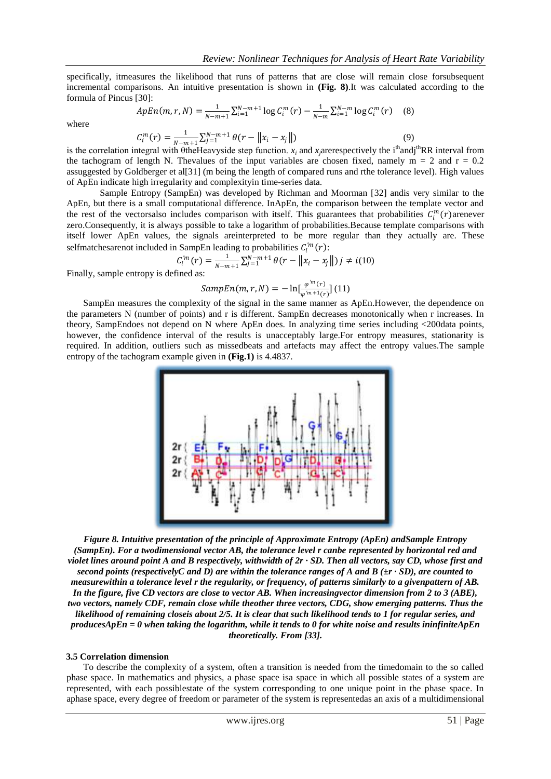specifically, itmeasures the likelihood that runs of patterns that are close will remain close forsubsequent incremental comparisons. An intuitive presentation is shown in **(Fig. 8)**.It was calculated according to the formula of Pincus [30]:

where

$$
ApEn(m, r, N) = \frac{1}{N - m + 1} \sum_{i=1}^{N - m + 1} \log C_i^m(r) - \frac{1}{N - m} \sum_{i=1}^{N - m} \log C_i^m(r) \tag{8}
$$

$$
C_i^m(r) = \frac{1}{N-m+1} \sum_{j=1}^{N-m+1} \theta(r - \|x_i - x_j\|)
$$
\n(9)

is the correlation integral with  $\theta$ theHeavyside step function. *x<sub>i</sub>* and *x<sub>j</sub>arerespectively the i<sup>th</sup>andj<sup>th</sup>RR interval from* the tachogram of length N. Thevalues of the input variables are chosen fixed, namely  $m = 2$  and  $r = 0.2$ assuggested by Goldberger et al[31] (m being the length of compared runs and rthe tolerance level). High values of ApEn indicate high irregularity and complexityin time-series data.

Sample Entropy (SampEn) was developed by Richman and Moorman [32] andis very similar to the ApEn, but there is a small computational difference. InApEn, the comparison between the template vector and the rest of the vectorsalso includes comparison with itself. This guarantees that probabilities  $C_i^m(r)$  arenever zero.Consequently, it is always possible to take a logarithm of probabilities.Because template comparisons with itself lower ApEn values, the signals areinterpreted to be more regular than they actually are. These selfmatches are not included in SampEn leading to probabilities  $C_i^m(r)$ :

$$
C_i^{m}(r) = \frac{1}{N-m+1} \sum_{j=1}^{N-m+1} \theta(r - ||x_i - x_j||) j \neq i(10)
$$

Finally, sample entropy is defined as:

$$
SampEn(m,r,N) = -\ln[\frac{\varphi^m(r)}{\varphi^{m+1}(r)}](11)
$$

SampEn measures the complexity of the signal in the same manner as ApEn.However, the dependence on the parameters N (number of points) and r is different. SampEn decreases monotonically when r increases. In theory, SampEndoes not depend on N where ApEn does. In analyzing time series including <200data points, however, the confidence interval of the results is unacceptably large.For entropy measures, stationarity is required. In addition, outliers such as missedbeats and artefacts may affect the entropy values.The sample entropy of the tachogram example given in **(Fig.1)** is 4.4837.



*Figure 8. Intuitive presentation of the principle of Approximate Entropy (ApEn) andSample Entropy (SampEn). For a twodimensional vector AB, the tolerance level r canbe represented by horizontal red and violet lines around point A and B respectively, withwidth of 2r · SD. Then all vectors, say CD, whose first and second points (respectivelyC and D) are within the tolerance ranges of A and B (±r · SD), are counted to measurewithin a tolerance level r the regularity, or frequency, of patterns similarly to a givenpattern of AB. In the figure, five CD vectors are close to vector AB. When increasingvector dimension from 2 to 3 (ABE), two vectors, namely CDF, remain close while theother three vectors, CDG, show emerging patterns. Thus the likelihood of remaining closeis about 2/5. It is clear that such likelihood tends to 1 for regular series, and producesApEn = 0 when taking the logarithm, while it tends to 0 for white noise and results ininfiniteApEn theoretically. From [33].*

#### **3.5 Correlation dimension**

To describe the complexity of a system, often a transition is needed from the timedomain to the so called phase space. In mathematics and physics, a phase space isa space in which all possible states of a system are represented, with each possiblestate of the system corresponding to one unique point in the phase space. In aphase space, every degree of freedom or parameter of the system is representedas an axis of a multidimensional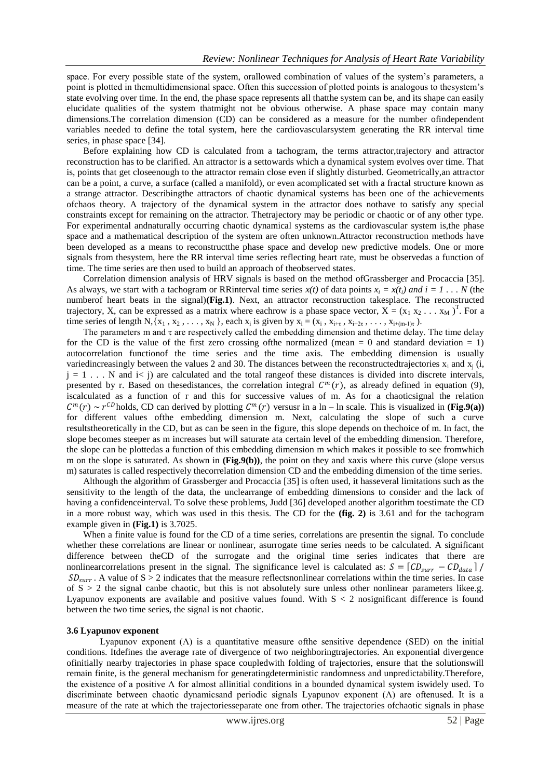space. For every possible state of the system, orallowed combination of values of the system's parameters, a point is plotted in themultidimensional space. Often this succession of plotted points is analogous to thesystem's state evolving over time. In the end, the phase space represents all thatthe system can be, and its shape can easily elucidate qualities of the system thatmight not be obvious otherwise. A phase space may contain many dimensions.The correlation dimension (CD) can be considered as a measure for the number ofindependent variables needed to define the total system, here the cardiovascularsystem generating the RR interval time series, in phase space [34].

Before explaining how CD is calculated from a tachogram, the terms attractor,trajectory and attractor reconstruction has to be clarified. An attractor is a settowards which a dynamical system evolves over time. That is, points that get closeenough to the attractor remain close even if slightly disturbed. Geometrically,an attractor can be a point, a curve, a surface (called a manifold), or even acomplicated set with a fractal structure known as a strange attractor. Describingthe attractors of chaotic dynamical systems has been one of the achievements ofchaos theory. A trajectory of the dynamical system in the attractor does nothave to satisfy any special constraints except for remaining on the attractor. Thetrajectory may be periodic or chaotic or of any other type. For experimental andnaturally occurring chaotic dynamical systems as the cardiovascular system is,the phase space and a mathematical description of the system are often unknown.Attractor reconstruction methods have been developed as a means to reconstructthe phase space and develop new predictive models. One or more signals from thesystem, here the RR interval time series reflecting heart rate, must be observedas a function of time. The time series are then used to build an approach of theobserved states.

Correlation dimension analysis of HRV signals is based on the method ofGrassberger and Procaccia [35]. As always, we start with a tachogram or RRinterval time series  $x(t)$  of data points  $x_i = x(t_i)$  and  $i = 1...N$  (the numberof heart beats in the signal)**(Fig.1)**. Next, an attractor reconstruction takesplace. The reconstructed trajectory, X, can be expressed as a matrix where eachrow is a phase space vector,  $X = (x_1 x_2 ... x_M)^T$ . For a time series of length N, { $x_1, x_2, \ldots, x_N$ }, each  $x_i$  is given by  $x_i = (x_i, x_{i+\tau}, x_{i+2\tau}, \ldots, x_{i+(m-1)\tau})$ .

The parameters m and  $\tau$  are respectively called the embedding dimension and thetime delay. The time delay for the CD is the value of the first zero crossing of the normalized (mean  $= 0$  and standard deviation  $= 1$ ) autocorrelation functionof the time series and the time axis. The embedding dimension is usually variedincreasingly between the values 2 and 30. The distances between the reconstructedtrajectories  $x_i$  and  $x_i$  (i,  $j = 1$ ... N and  $i < j$  are calculated and the total range of these distances is divided into discrete intervals, presented by r. Based on thesedistances, the correlation integral  $C<sup>m</sup>(r)$ , as already defined in equation (9), iscalculated as a function of r and this for successive values of m. As for a chaoticsignal the relation  $C^m(r) \sim r^{CD}$  holds, CD can derived by plotting  $C^m(r)$  versusr in a ln – ln scale. This is visualized in (**Fig.9(a**)) for different values ofthe embedding dimension m. Next, calculating the slope of such a curve resultstheoretically in the CD, but as can be seen in the figure, this slope depends on thechoice of m. In fact, the slope becomes steeper as m increases but will saturate ata certain level of the embedding dimension. Therefore, the slope can be plottedas a function of this embedding dimension m which makes it possible to see fromwhich m on the slope is saturated. As shown in **(Fig.9(b))**, the point on they and xaxis where this curve (slope versus m) saturates is called respectively thecorrelation dimension CD and the embedding dimension of the time series.

Although the algorithm of Grassberger and Procaccia [35] is often used, it hasseveral limitations such as the sensitivity to the length of the data, the unclearrange of embedding dimensions to consider and the lack of having a confidenceinterval. To solve these problems, Judd [36] developed another algorithm toestimate the CD in a more robust way, which was used in this thesis. The CD for the **(fig. 2)** is 3.61 and for the tachogram example given in **(Fig.1)** is 3.7025.

When a finite value is found for the CD of a time series, correlations are presentin the signal. To conclude whether these correlations are linear or nonlinear, asurrogate time series needs to be calculated. A significant difference between theCD of the surrogate and the original time series indicates that there are nonlinearcorrelations present in the signal. The significance level is calculated as:  $S = [CD_{\text{surr}} - CD_{\text{data}}]$  $SD_{\text{surr}}$ . A value of S > 2 indicates that the measure reflects nonlinear correlations within the time series. In case of  $S > 2$  the signal canbe chaotic, but this is not absolutely sure unless other nonlinear parameters likee.g. Lyapunov exponents are available and positive values found. With  $S < 2$  nosignificant difference is found between the two time series, the signal is not chaotic.

### **3.6 Lyapunov exponent**

Lyapunov exponent  $(\Lambda)$  is a quantitative measure of the sensitive dependence (SED) on the initial conditions. Itdefines the average rate of divergence of two neighboringtrajectories. An exponential divergence ofinitially nearby trajectories in phase space coupledwith folding of trajectories, ensure that the solutionswill remain finite, is the general mechanism for generatingdeterministic randomness and unpredictability.Therefore, the existence of a positive Λ for almost allinitial conditions in a bounded dynamical system iswidely used. To discriminate between chaotic dynamicsand periodic signals Lyapunov exponent (Λ) are oftenused. It is a measure of the rate at which the trajectoriesseparate one from other. The trajectories ofchaotic signals in phase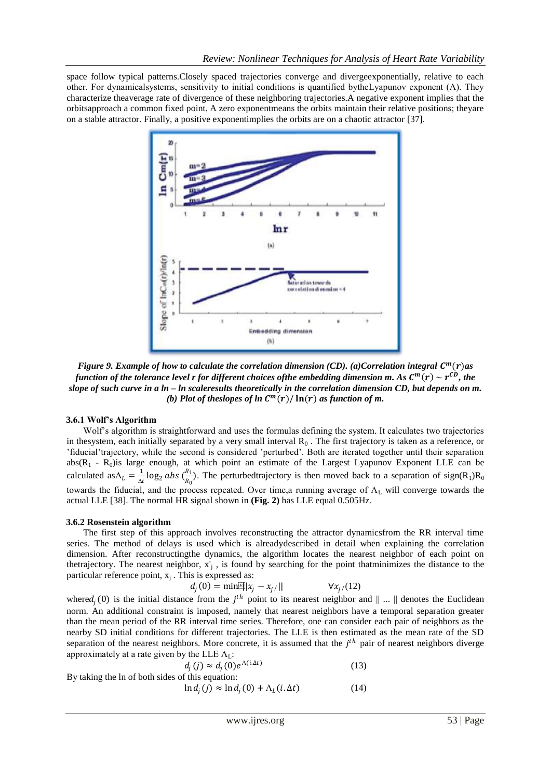space follow typical patterns.Closely spaced trajectories converge and divergeexponentially, relative to each other. For dynamicalsystems, sensitivity to initial conditions is quantified bytheLyapunov exponent (Λ). They characterize theaverage rate of divergence of these neighboring trajectories.A negative exponent implies that the orbitsapproach a common fixed point. A zero exponentmeans the orbits maintain their relative positions; theyare on a stable attractor. Finally, a positive exponentimplies the orbits are on a chaotic attractor [37].



*Figure 9. Example of how to calculate the correlation dimension (CD). (a)Correlation integral*  $C<sup>m</sup>(r)$ *as* function of the tolerance level **r** for different choices ofthe embedding dimension m. As  $C^m(r) \sim r^{CD}$ , the *slope of such curve in a ln – ln scaleresults theoretically in the correlation dimension CD, but depends on m. (b) Plot of theslopes of ln*  $\mathcal{C}^m(r)/\ln(r)$  *as function of m.* 

## **3.6.1 Wolf's Algorithm**

Wolf's algorithm is straightforward and uses the formulas defining the system. It calculates two trajectories in thesystem, each initially separated by a very small interval  $R_0$ . The first trajectory is taken as a reference, or 'fiducial'trajectory, while the second is considered 'perturbed'. Both are iterated together until their separation  $abs(R_1 - R_0)$ is large enough, at which point an estimate of the Largest Lyapunov Exponent LLE can be calculated as  $\Lambda_L = \frac{1}{\Lambda}$  $\frac{1}{\Delta t}$ log $_2$  abs  $(\frac{R_1}{R_0})$  $\frac{n_1}{R_0}$ ). The perturbedtrajectory is then moved back to a separation of sign(R<sub>1</sub>)R<sub>0</sub> towards the fiducial, and the process repeated. Over time, a running average of  $\Lambda_L$  will converge towards the actual LLE [38]. The normal HR signal shown in **(Fig. 2)** has LLE equal 0.505Hz.

## **3.6.2 Rosenstein algorithm**

The first step of this approach involves reconstructing the attractor dynamicsfrom the RR interval time series. The method of delays is used which is alreadydescribed in detail when explaining the correlation dimension. After reconstructingthe dynamics, the algorithm locates the nearest neighbor of each point on thetrajectory. The nearest neighbor,  $x'_{j}$ , is found by searching for the point thatminimizes the distance to the particular reference point,  $x_j$ . This is expressed as:

$$
d_j(0) = \min[\mathbb{E}||x_j - x_{j/}|| \qquad \forall x_{j/}(12)
$$

where  $d_j(0)$  is the initial distance from the  $j<sup>th</sup>$  point to its nearest neighbor and  $\|\dots\|$  denotes the Euclidean norm. An additional constraint is imposed, namely that nearest neighbors have a temporal separation greater than the mean period of the RR interval time series. Therefore, one can consider each pair of neighbors as the nearby SD initial conditions for different trajectories. The LLE is then estimated as the mean rate of the SD separation of the nearest neighbors. More concrete, it is assumed that the  $j<sup>th</sup>$  pair of nearest neighbors diverge approximately at a rate given by the LLE  $\Lambda_{\text{L}}$ :

$$
d_j(j) \approx d_j(0) e^{\Lambda(i\Delta t)}
$$
  
By taking the ln of both sides of this equation: (13)

 $\ln d_j(j) \approx \ln d_j(0) + \Lambda_L(i \Delta t)$  (14)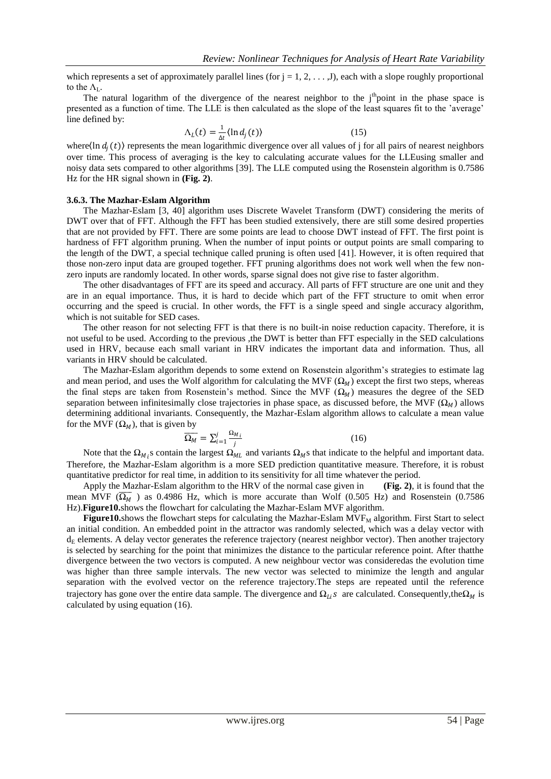which represents a set of approximately parallel lines (for  $j = 1, 2, \ldots, J$ ), each with a slope roughly proportional to the  $\Lambda_{\rm L}$ .

The natural logarithm of the divergence of the nearest neighbor to the  $j<sup>th</sup>$ point in the phase space is presented as a function of time. The LLE is then calculated as the slope of the least squares fit to the 'average' line defined by:

$$
\Lambda_L(t) = \frac{1}{\Lambda t} \langle \ln d_j(t) \rangle \tag{15}
$$

where (ln  $d_j(t)$ ) represents the mean logarithmic divergence over all values of j for all pairs of nearest neighbors over time. This process of averaging is the key to calculating accurate values for the LLEusing smaller and noisy data sets compared to other algorithms [39]. The LLE computed using the Rosenstein algorithm is 0.7586 Hz for the HR signal shown in **(Fig. 2)**.

#### **3.6.3. The Mazhar-Eslam Algorithm**

The Mazhar-Eslam [3, 40] algorithm uses Discrete Wavelet Transform (DWT) considering the merits of DWT over that of FFT. Although the FFT has been studied extensively, there are still some desired properties that are not provided by FFT. There are some points are lead to choose DWT instead of FFT. The first point is hardness of FFT algorithm pruning. When the number of input points or output points are small comparing to the length of the DWT, a special technique called pruning is often used [41]. However, it is often required that those non-zero input data are grouped together. FFT pruning algorithms does not work well when the few nonzero inputs are randomly located. In other words, sparse signal does not give rise to faster algorithm.

The other disadvantages of FFT are its speed and accuracy. All parts of FFT structure are one unit and they are in an equal importance. Thus, it is hard to decide which part of the FFT structure to omit when error occurring and the speed is crucial. In other words, the FFT is a single speed and single accuracy algorithm, which is not suitable for SED cases.

The other reason for not selecting FFT is that there is no built-in noise reduction capacity. Therefore, it is not useful to be used. According to the previous ,the DWT is better than FFT especially in the SED calculations used in HRV, because each small variant in HRV indicates the important data and information. Thus, all variants in HRV should be calculated.

The Mazhar-Eslam algorithm depends to some extend on Rosenstein algorithm's strategies to estimate lag and mean period, and uses the Wolf algorithm for calculating the MVF ( $\Omega_M$ ) except the first two steps, whereas the final steps are taken from Rosenstein's method. Since the MVF  $(\Omega_M)$  measures the degree of the SED separation between infinitesimally close trajectories in phase space, as discussed before, the MVF  $(\Omega_M)$  allows determining additional invariants. Consequently, the Mazhar-Eslam algorithm allows to calculate a mean value for the MVF  $(\Omega_M)$ , that is given by

$$
\overline{\Omega_M} = \sum_{i=1}^{j} \frac{\Omega_{M_i}}{i} \tag{16}
$$

Note that the  $\Omega_{M_i}$ s contain the largest  $\Omega_{ML}$  and variants  $\Omega_M$ s that indicate to the helpful and important data. Therefore, the Mazhar-Eslam algorithm is a more SED prediction quantitative measure. Therefore, it is robust quantitative predictor for real time, in addition to its sensitivity for all time whatever the period.

Apply the Mazhar-Eslam algorithm to the HRV of the normal case given in **(Fig. 2)**, it is found that the mean MVF ( $\overline{\Omega_M}$ ) as 0.4986 Hz, which is more accurate than Wolf (0.505 Hz) and Rosenstein (0.7586 Hz).**Figure10.**shows the flowchart for calculating the Mazhar-Eslam MVF algorithm.

**Figure10.**shows the flowchart steps for calculating the Mazhar-Eslam  $MVF_M$  algorithm. First Start to select an initial condition. An embedded point in the attractor was randomly selected, which was a delay vector with  $d_E$  elements. A delay vector generates the reference trajectory (nearest neighbor vector). Then another trajectory is selected by searching for the point that minimizes the distance to the particular reference point. After thatthe divergence between the two vectors is computed. A new neighbour vector was consideredas the evolution time was higher than three sample intervals. The new vector was selected to minimize the length and angular separation with the evolved vector on the reference trajectory.The steps are repeated until the reference trajectory has gone over the entire data sample. The divergence and  $\Omega_{l,i}s$  are calculated. Consequently,the $\Omega_M$  is calculated by using equation (16).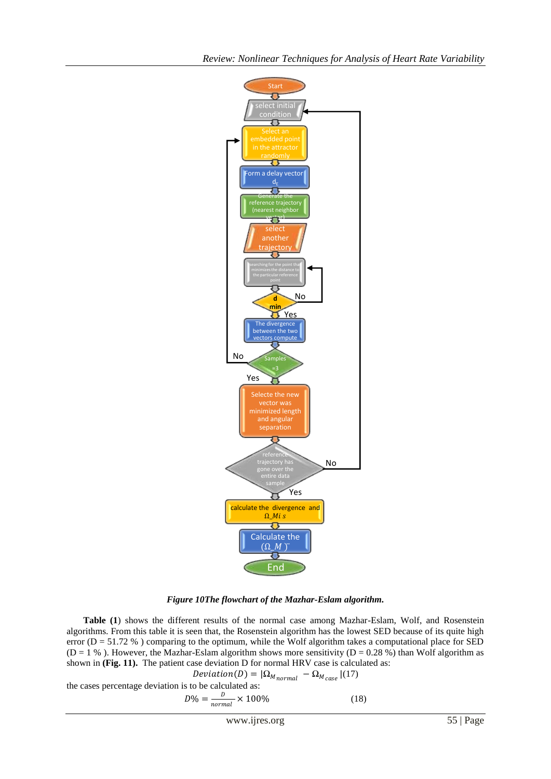

*Figure 10The flowchart of the Mazhar-Eslam algorithm.*

**Table (1**) shows the different results of the normal case among Mazhar-Eslam, Wolf, and Rosenstein algorithms. From this table it is seen that, the Rosenstein algorithm has the lowest SED because of its quite high error ( $D = 51.72$ %) comparing to the optimum, while the Wolf algorithm takes a computational place for SED ( $D = 1$  %). However, the Mazhar-Eslam algorithm shows more sensitivity ( $D = 0.28$  %) than Wolf algorithm as shown in **(Fig. 11).** The patient case deviation D for normal HRV case is calculated as:

$$
Deviation(D) = |\Omega_{M_{normal}} - \Omega_{M_{case}}| (17)
$$

the cases percentage deviation is to be calculated as:

$$
D\% = \frac{D}{normal} \times 100\%
$$
 (18)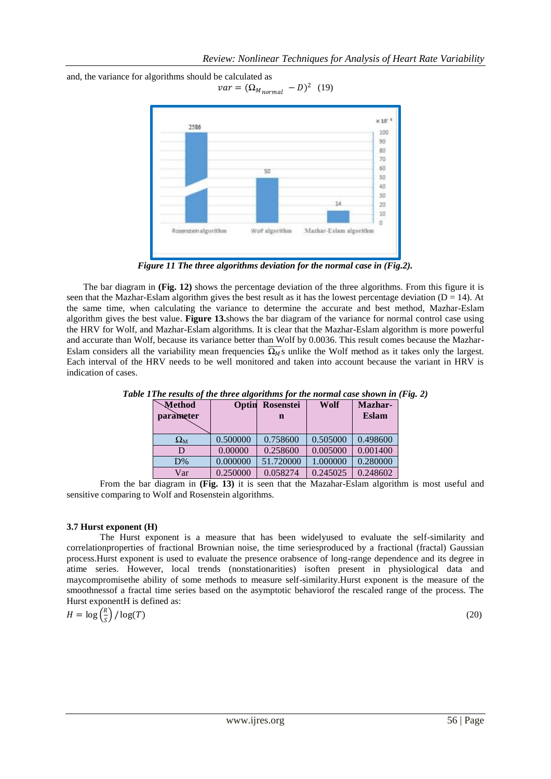

and, the variance for algorithms should be calculated as  $var = (\Omega_{M_{normal}} - D)^2$  (19)

*Figure 11 The three algorithms deviation for the normal case in (Fig.2).*

The bar diagram in **(Fig. 12)** shows the percentage deviation of the three algorithms. From this figure it is seen that the Mazhar-Eslam algorithm gives the best result as it has the lowest percentage deviation ( $D = 14$ ). At the same time, when calculating the variance to determine the accurate and best method, Mazhar-Eslam algorithm gives the best value. **Figure 13.**shows the bar diagram of the variance for normal control case using the HRV for Wolf, and Mazhar-Eslam algorithms. It is clear that the Mazhar-Eslam algorithm is more powerful and accurate than Wolf, because its variance better than Wolf by 0.0036. This result comes because the Mazhar-Eslam considers all the variability mean frequencies  $\overline{\Omega_M}$ s unlike the Wolf method as it takes only the largest. Each interval of the HRV needs to be well monitored and taken into account because the variant in HRV is indication of cases.

| <b>Method</b><br>parameter | Optin    | <b>Rosenstei</b><br>n | Wolf     | Mazhar-<br><b>Eslam</b> |
|----------------------------|----------|-----------------------|----------|-------------------------|
| $\Omega_{\rm M}$           | 0.500000 | 0.758600              | 0.505000 | 0.498600                |
| D                          | 0.00000  | 0.258600              | 0.005000 | 0.001400                |
| D%                         | 0.000000 | 51.720000             | 1.000000 | 0.280000                |
| Var                        | 0.250000 | 0.058274              | 0.245025 | 0.248602                |

*Table 1The results of the three algorithms for the normal case shown in (Fig. 2)*

From the bar diagram in **(Fig. 13)** it is seen that the Mazahar-Eslam algorithm is most useful and sensitive comparing to Wolf and Rosenstein algorithms.

# **3.7 Hurst exponent (H)**

The Hurst exponent is a measure that has been widelyused to evaluate the self-similarity and correlationproperties of fractional Brownian noise, the time seriesproduced by a fractional (fractal) Gaussian process.Hurst exponent is used to evaluate the presence orabsence of long-range dependence and its degree in atime series. However, local trends (nonstationarities) isoften present in physiological data and maycompromisethe ability of some methods to measure self-similarity.Hurst exponent is the measure of the smoothnessof a fractal time series based on the asymptotic behaviorof the rescaled range of the process. The Hurst exponentH is defined as:

$$
H = \log\left(\frac{R}{S}\right) / \log(T) \tag{20}
$$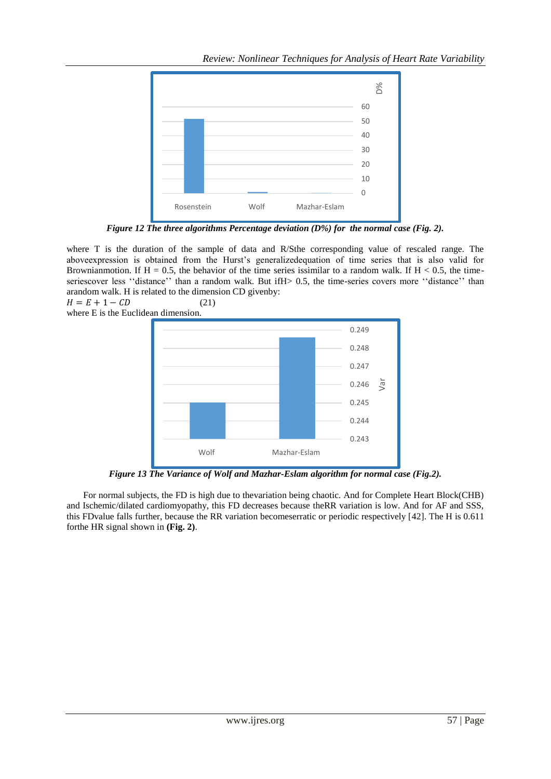

*Figure 12 The three algorithms Percentage deviation (D%) for the normal case (Fig. 2).*

where T is the duration of the sample of data and R/Sthe corresponding value of rescaled range. The aboveexpression is obtained from the Hurst's generalizedequation of time series that is also valid for Brownianmotion. If  $H = 0.5$ , the behavior of the time series is similar to a random walk. If  $H < 0.5$ , the timeseriescover less "distance" than a random walk. But ifH> 0.5, the time-series covers more "distance" than arandom walk. H is related to the dimension CD givenby:

 $H = E + 1 - CD$  (21) where E is the Euclidean dimension.



*Figure 13 The Variance of Wolf and Mazhar-Eslam algorithm for normal case (Fig.2).*

For normal subjects, the FD is high due to thevariation being chaotic. And for Complete Heart Block(CHB) and Ischemic/dilated cardiomyopathy, this FD decreases because theRR variation is low. And for AF and SSS, this FDvalue falls further, because the RR variation becomeserratic or periodic respectively [42]. The H is 0.611 forthe HR signal shown in **(Fig. 2)**.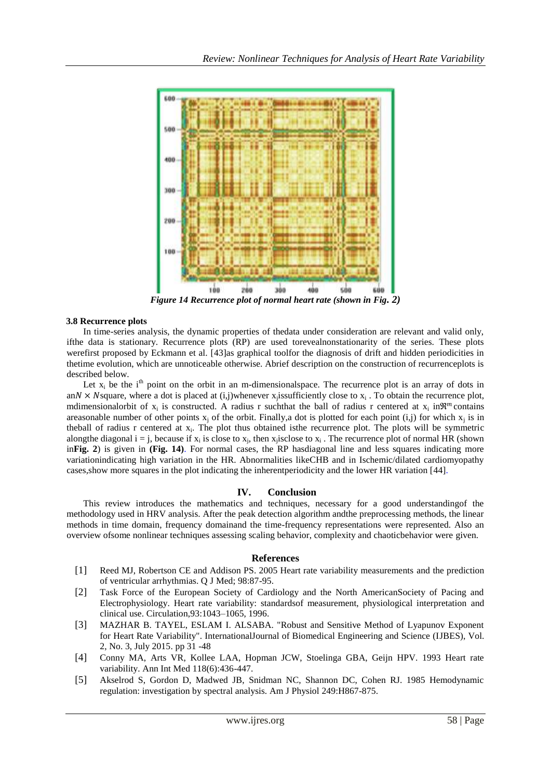

*Figure 14 Recurrence plot of normal heart rate (shown in Fig. 2)*

# **3.8 Recurrence plots**

In time-series analysis, the dynamic properties of thedata under consideration are relevant and valid only, ifthe data is stationary. Recurrence plots (RP) are used torevealnonstationarity of the series. These plots werefirst proposed by Eckmann et al. [43]as graphical toolfor the diagnosis of drift and hidden periodicities in thetime evolution, which are unnoticeable otherwise. Abrief description on the construction of recurrenceplots is described below.

Let  $x_i$  be the i<sup>th</sup> point on the orbit in an m-dimensional space. The recurrence plot is an array of dots in an  $N \times N$  square, where a dot is placed at (i,j)whenever x<sub>j</sub>issufficiently close to x<sub>i</sub>. To obtain the recurrence plot, mdimensionalorbit of  $x_i$  is constructed. A radius r such that the ball of radius r centered at  $x_i$  in $\mathbb{R}^m$  contains areasonable number of other points  $x_j$  of the orbit. Finally, a dot is plotted for each point (i,j) for which  $x_j$  is in theball of radius r centered at  $x_i$ . The plot thus obtained isthe recurrence plot. The plots will be symmetric alongthe diagonal  $i = j$ , because if  $x_i$  is close to  $x_j$ , then  $x_j$  isclose to  $x_i$ . The recurrence plot of normal HR (shown in**Fig. 2**) is given in **(Fig. 14)**. For normal cases, the RP hasdiagonal line and less squares indicating more variationindicating high variation in the HR. Abnormalities likeCHB and in Ischemic/dilated cardiomyopathy cases,show more squares in the plot indicating the inherentperiodicity and the lower HR variation [44].

# **IV. Conclusion**

This review introduces the mathematics and techniques, necessary for a good understandingof the methodology used in HRV analysis. After the peak detection algorithm andthe preprocessing methods, the linear methods in time domain, frequency domainand the time-frequency representations were represented. Also an overview ofsome nonlinear techniques assessing scaling behavior, complexity and chaoticbehavior were given.

# **References**

- [1] Reed MJ, Robertson CE and Addison PS. 2005 Heart rate variability measurements and the prediction of ventricular arrhythmias. Q J Med; 98:87-95.
- [2] Task Force of the European Society of Cardiology and the North AmericanSociety of Pacing and Electrophysiology. Heart rate variability: standardsof measurement, physiological interpretation and clinical use. Circulation,93:1043–1065, 1996.
- [3] MAZHAR B. TAYEL, ESLAM I. ALSABA. "Robust and Sensitive Method of Lyapunov Exponent for Heart Rate Variability". InternationalJournal of Biomedical Engineering and Science (IJBES), Vol. 2, No. 3, July 2015. pp 31 -48
- [4] Conny MA, Arts VR, Kollee LAA, Hopman JCW, Stoelinga GBA, Geijn HPV. 1993 Heart rate variability. Ann Int Med 118(6):436-447.
- [5] Akselrod S, Gordon D, Madwed JB, Snidman NC, Shannon DC, Cohen RJ. 1985 Hemodynamic regulation: investigation by spectral analysis. Am J Physiol 249:H867-875.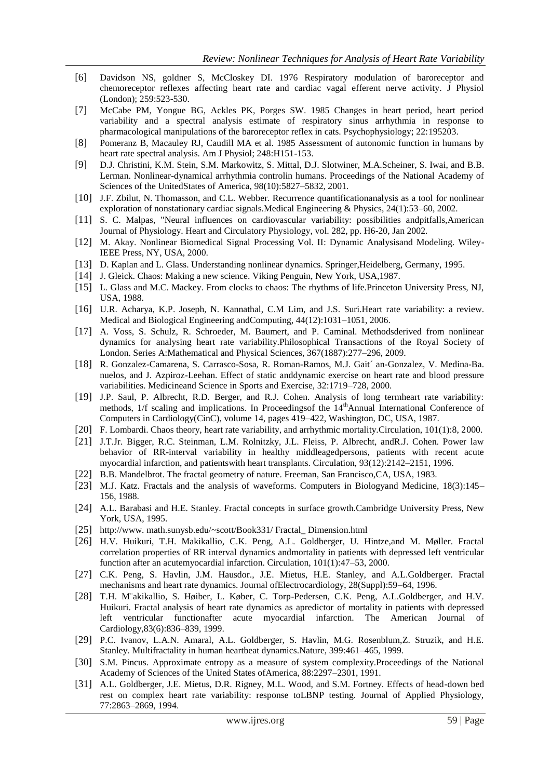- [6] Davidson NS, goldner S, McCloskey DI. 1976 Respiratory modulation of baroreceptor and chemoreceptor reflexes affecting heart rate and cardiac vagal efferent nerve activity. J Physiol (London); 259:523-530.
- [7] McCabe PM, Yongue BG, Ackles PK, Porges SW. 1985 Changes in heart period, heart period variability and a spectral analysis estimate of respiratory sinus arrhythmia in response to pharmacological manipulations of the baroreceptor reflex in cats. Psychophysiology; 22:195203.
- [8] Pomeranz B, Macauley RJ, Caudill MA et al. 1985 Assessment of autonomic function in humans by heart rate spectral analysis. Am J Physiol; 248:H151-153.
- [9] D.J. Christini, K.M. Stein, S.M. Markowitz, S. Mittal, D.J. Slotwiner, M.A.Scheiner, S. Iwai, and B.B. Lerman. Nonlinear-dynamical arrhythmia controlin humans. Proceedings of the National Academy of Sciences of the UnitedStates of America, 98(10):5827–5832, 2001.
- [10] J.F. Zbilut, N. Thomasson, and C.L. Webber. Recurrence quantificationanalysis as a tool for nonlinear exploration of nonstationary cardiac signals.Medical Engineering & Physics, 24(1):53–60, 2002.
- [11] S. C. Malpas, "Neural influences on cardiovascular variability: possibilities andpitfalls,American Journal of Physiology. Heart and Circulatory Physiology, vol. 282, pp. H6-20, Jan 2002.
- [12] M. Akay. Nonlinear Biomedical Signal Processing Vol. II: Dynamic Analysisand Modeling. Wiley-IEEE Press, NY, USA, 2000.
- [13] D. Kaplan and L. Glass. Understanding nonlinear dynamics. Springer,Heidelberg, Germany, 1995.
- [14] J. Gleick. Chaos: Making a new science. Viking Penguin, New York, USA,1987.
- [15] L. Glass and M.C. Mackey. From clocks to chaos: The rhythms of life.Princeton University Press, NJ, USA, 1988.
- [16] U.R. Acharya, K.P. Joseph, N. Kannathal, C.M Lim, and J.S. Suri.Heart rate variability: a review. Medical and Biological Engineering andComputing, 44(12):1031–1051, 2006.
- [17] A. Voss, S. Schulz, R. Schroeder, M. Baumert, and P. Caminal. Methodsderived from nonlinear dynamics for analysing heart rate variability.Philosophical Transactions of the Royal Society of London. Series A:Mathematical and Physical Sciences, 367(1887):277–296, 2009.
- [18] R. Gonzalez-Camarena, S. Carrasco-Sosa, R. Roman-Ramos, M.J. Gait´ an-Gonzalez, V. Medina-Ba. nuelos, and J. Azpiroz-Leehan. Effect of static anddynamic exercise on heart rate and blood pressure variabilities. Medicineand Science in Sports and Exercise, 32:1719–728, 2000.
- [19] J.P. Saul, P. Albrecht, R.D. Berger, and R.J. Cohen. Analysis of long termheart rate variability: methods,  $1/f$  scaling and implications. In Proceedingsof the  $14<sup>th</sup>$ Annual International Conference of Computers in Cardiology(CinC), volume 14, pages 419–422, Washington, DC, USA, 1987.
- [20] F. Lombardi. Chaos theory, heart rate variability, and arrhythmic mortality.Circulation, 101(1):8, 2000.
- [21] J.T.Jr. Bigger, R.C. Steinman, L.M. Rolnitzky, J.L. Fleiss, P. Albrecht, andR.J. Cohen. Power law behavior of RR-interval variability in healthy middleagedpersons, patients with recent acute myocardial infarction, and patientswith heart transplants. Circulation, 93(12):2142–2151, 1996.
- [22] B.B. Mandelbrot. The fractal geometry of nature. Freeman, San Francisco,CA, USA, 1983.
- [23] M.J. Katz. Fractals and the analysis of waveforms. Computers in Biologyand Medicine, 18(3):145– 156, 1988.
- [24] A.L. Barabasi and H.E. Stanley. Fractal concepts in surface growth.Cambridge University Press, New York, USA, 1995.
- [25] http://www. math.sunysb.edu/~scott/Book331/ Fractal\_ Dimension.html
- [26] H.V. Huikuri, T.H. Makikallio, C.K. Peng, A.L. Goldberger, U. Hintze,and M. Møller. Fractal correlation properties of RR interval dynamics andmortality in patients with depressed left ventricular function after an acutemyocardial infarction. Circulation, 101(1):47–53, 2000.
- [27] C.K. Peng, S. Havlin, J.M. Hausdor., J.E. Mietus, H.E. Stanley, and A.L.Goldberger. Fractal mechanisms and heart rate dynamics. Journal ofElectrocardiology, 28(Suppl):59–64, 1996.
- [28] T.H. M¨akikallio, S. Høiber, L. Køber, C. Torp-Pedersen, C.K. Peng, A.L.Goldberger, and H.V. Huikuri. Fractal analysis of heart rate dynamics as apredictor of mortality in patients with depressed left ventricular functionafter acute myocardial infarction. The American Journal of Cardiology,83(6):836–839, 1999.
- [29] P.C. Ivanov, L.A.N. Amaral, A.L. Goldberger, S. Havlin, M.G. Rosenblum,Z. Struzik, and H.E. Stanley. Multifractality in human heartbeat dynamics.Nature, 399:461–465, 1999.
- [30] S.M. Pincus. Approximate entropy as a measure of system complexity.Proceedings of the National Academy of Sciences of the United States ofAmerica, 88:2297–2301, 1991.
- [31] A.L. Goldberger, J.E. Mietus, D.R. Rigney, M.L. Wood, and S.M. Fortney. Effects of head-down bed rest on complex heart rate variability: response toLBNP testing. Journal of Applied Physiology, 77:2863–2869, 1994.